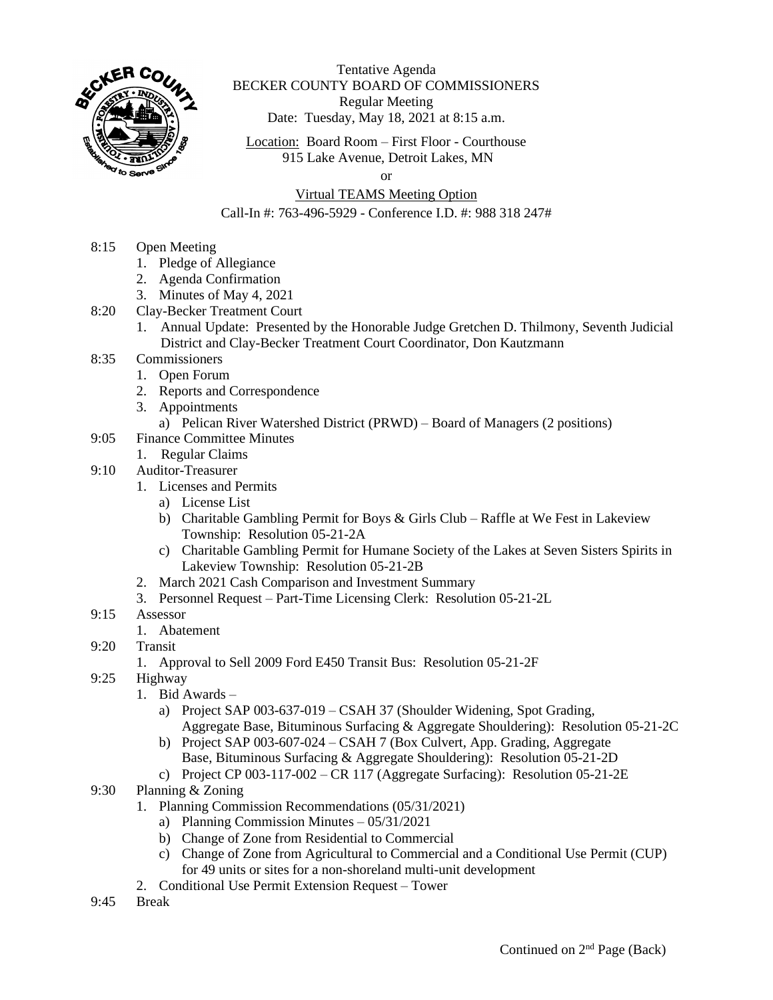

Tentative Agenda BECKER COUNTY BOARD OF COMMISSIONERS Regular Meeting Date: Tuesday, May 18, 2021 at 8:15 a.m.

Location: Board Room – First Floor - Courthouse 915 Lake Avenue, Detroit Lakes, MN

or

## Virtual TEAMS Meeting Option

## Call-In #: 763-496-5929 - Conference I.D. #: 988 318 247#

- 8:15 Open Meeting
	- 1. Pledge of Allegiance
	- 2. Agenda Confirmation
	- 3. Minutes of May 4, 2021
- 8:20 Clay-Becker Treatment Court
	- 1. Annual Update: Presented by the Honorable Judge Gretchen D. Thilmony, Seventh Judicial District and Clay-Becker Treatment Court Coordinator, Don Kautzmann
- 8:35 Commissioners
	- 1. Open Forum
	- 2. Reports and Correspondence
	- 3. Appointments
		- a) Pelican River Watershed District (PRWD) Board of Managers (2 positions)
- 9:05 Finance Committee Minutes
	- 1. Regular Claims
- 9:10 Auditor-Treasurer
	- 1. Licenses and Permits
		- a) License List
		- b) Charitable Gambling Permit for Boys & Girls Club Raffle at We Fest in Lakeview Township: Resolution 05-21-2A
		- c) Charitable Gambling Permit for Humane Society of the Lakes at Seven Sisters Spirits in Lakeview Township: Resolution 05-21-2B
	- 2. March 2021 Cash Comparison and Investment Summary
	- 3. Personnel Request Part-Time Licensing Clerk: Resolution 05-21-2L
- 9:15 Assessor
	- 1. Abatement
- 9:20 Transit
	- 1. Approval to Sell 2009 Ford E450 Transit Bus: Resolution 05-21-2F
- 9:25 Highway
	- 1. Bid Awards
		- a) Project SAP 003-637-019 CSAH 37 (Shoulder Widening, Spot Grading, Aggregate Base, Bituminous Surfacing & Aggregate Shouldering): Resolution 05-21-2C
		- b) Project SAP 003-607-024 CSAH 7 (Box Culvert, App. Grading, Aggregate Base, Bituminous Surfacing & Aggregate Shouldering): Resolution 05-21-2D
		- c) Project CP 003-117-002 CR 117 (Aggregate Surfacing): Resolution 05-21-2E
- 9:30 Planning & Zoning
	- 1. Planning Commission Recommendations (05/31/2021)
		- a) Planning Commission Minutes 05/31/2021
		- b) Change of Zone from Residential to Commercial
		- c) Change of Zone from Agricultural to Commercial and a Conditional Use Permit (CUP) for 49 units or sites for a non-shoreland multi-unit development
	- 2. Conditional Use Permit Extension Request Tower
- 9:45 Break